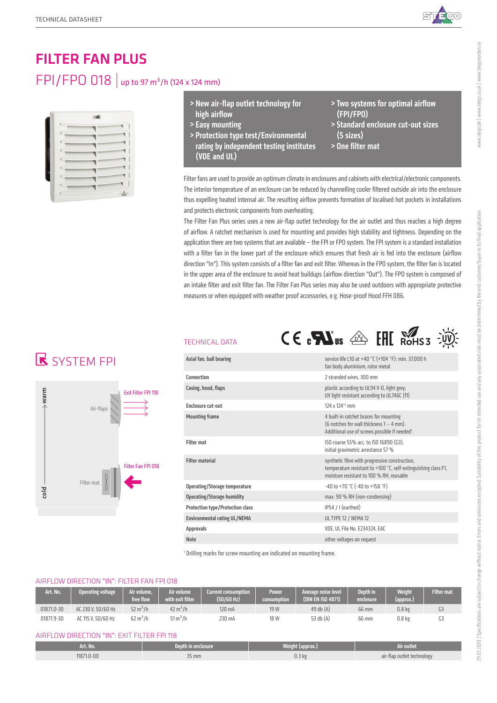

# FILTER FAN PLUS FPI/FPO 018 | up to 97 m<sup>3</sup>/h (124 x 124 mm)



- > New air-flap outlet technology for high airflow
- > Easy mounting
- > Protection type test/Environmental rating by independent testing institutes (VDE and UL)
- > Two systems for optimal airflow (FPI/FPO)
- > Standard enclosure cut-out sizes (5 sizes)
- > One filter mat

Filter fans are used to provide an optimum climate in enclosures and cabinets with electrical/electronic components. The interior temperature of an enclosure can be reduced by channelling cooler filtered outside air into the enclosure thus expelling heated internal air. The resulting airflow prevents formation of localised hot pockets in installations and protects electronic components from overheating.

The Filter Fan Plus series uses a new air-flap outlet technology for the air outlet and thus reaches a high degree of airflow. A ratchet mechanism is used for mounting and provides high stability and tightness. Depending on the application there are two systems that are available – the FPI or FPO system. The FPI system is a standard installation with a filter fan in the lower part of the enclosure which ensures that fresh air is fed into the enclosure (airflow direction "In"). This system consists of a filter fan and exit filter. Whereas in the FPO system, the filter fan is located in the upper area of the enclosure to avoid heat buildups (airflow direction "Out"). The FPO system is composed of an intake filter and exit filter fan. The Filter Fan Plus series may also be used outdoors with appropriate protective measures or when equipped with weather proof accessories, e.g. Hose-proof Hood FFH 086.

## **R** SYSTEM FPI



### TECHNICAL DATA



<sup>1</sup> Drilling marks for screw mounting are indicated on mounting frame.

### AIRFLOW DIRECTION "IN": FILTER FAN FPI 018

| Art. No.   | Operating voltage  | Air volume.<br>free flow | Air volume<br>with exit filter | <b>Current consumption</b><br>(50/60 Hz) | <b>Power</b><br>consumption' | Average noise level<br>(DIN EN ISO 4871) | <b>Depth in</b><br>enclosure | <b>Weight</b><br>(approx.) | <b>Filter mate</b> |
|------------|--------------------|--------------------------|--------------------------------|------------------------------------------|------------------------------|------------------------------------------|------------------------------|----------------------------|--------------------|
| 01871.0-30 | AC 230 V. 50/60 Hz | $52 \text{ m}^3/h$       | $42 \text{ m}^3/h$             | 120 mA                                   | 19 W                         | $49$ db $(A)$                            | 66 mm                        | 0.8 <sub>k</sub>           |                    |
| 01871.9-30 | AC 115 V. 50/60 Hz | $62 \text{ m}^3/h$       | 51 m <sup>3</sup> /h           | 230 mA                                   | 18 W                         | 53 db (A)                                | 66 mm                        | 0.8 kg                     | u3                 |

#### AIRFLOW DIRECTION "IN": EXIT FILTER FPI 118

| Art. No.   | Depth in enclosure | Weight (approx.) | Air outlet                        |
|------------|--------------------|------------------|-----------------------------------|
| 11871.0-00 | $35 \, \text{mm}$  | 0.3 <sub>k</sub> | air-flap outlet technology<br>، ب |